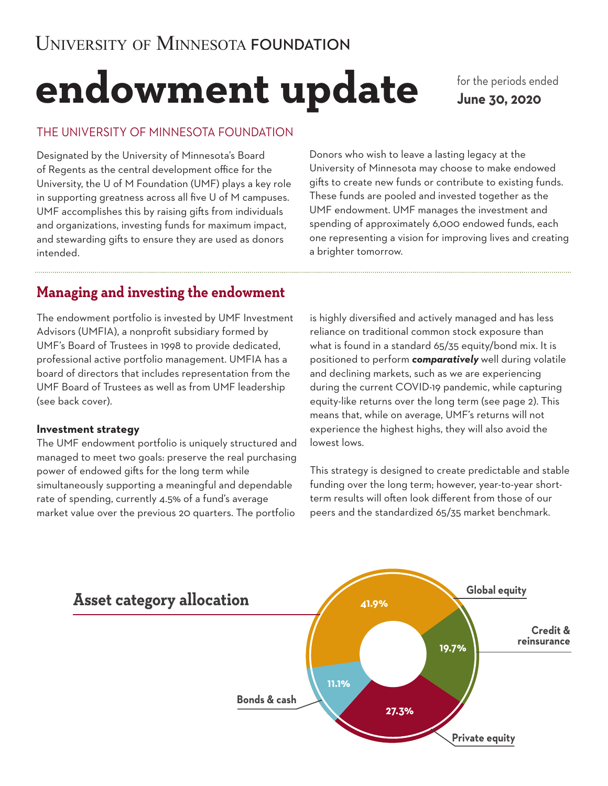# **endowment update**

for the periods ended **June 30, 2020**

## THE UNIVERSITY OF MINNESOTA FOUNDATION

Designated by the University of Minnesota's Board of Regents as the central development office for the University, the U of M Foundation (UMF) plays a key role in supporting greatness across all five U of M campuses. UMF accomplishes this by raising gifts from individuals and organizations, investing funds for maximum impact, and stewarding gifts to ensure they are used as donors intended.

Donors who wish to leave a lasting legacy at the University of Minnesota may choose to make endowed gifts to create new funds or contribute to existing funds. These funds are pooled and invested together as the UMF endowment. UMF manages the investment and spending of approximately 6,000 endowed funds, each one representing a vision for improving lives and creating a brighter tomorrow.

# **Managing and investing the endowment**

The endowment portfolio is invested by UMF Investment Advisors (UMFIA), a nonprofit subsidiary formed by UMF's Board of Trustees in 1998 to provide dedicated, professional active portfolio management. UMFIA has a board of directors that includes representation from the UMF Board of Trustees as well as from UMF leadership (see back cover).

### **Investment strategy**

The UMF endowment portfolio is uniquely structured and managed to meet two goals: preserve the real purchasing power of endowed gifts for the long term while simultaneously supporting a meaningful and dependable rate of spending, currently 4.5% of a fund's average market value over the previous 20 quarters. The portfolio

is highly diversified and actively managed and has less reliance on traditional common stock exposure than what is found in a standard 65/35 equity/bond mix. It is positioned to perform *comparatively* well during volatile and declining markets, such as we are experiencing during the current COVID-19 pandemic, while capturing equity-like returns over the long term (see page 2). This means that, while on average, UMF's returns will not experience the highest highs, they will also avoid the lowest lows.

This strategy is designed to create predictable and stable funding over the long term; however, year-to-year shortterm results will often look different from those of our peers and the standardized 65/35 market benchmark.

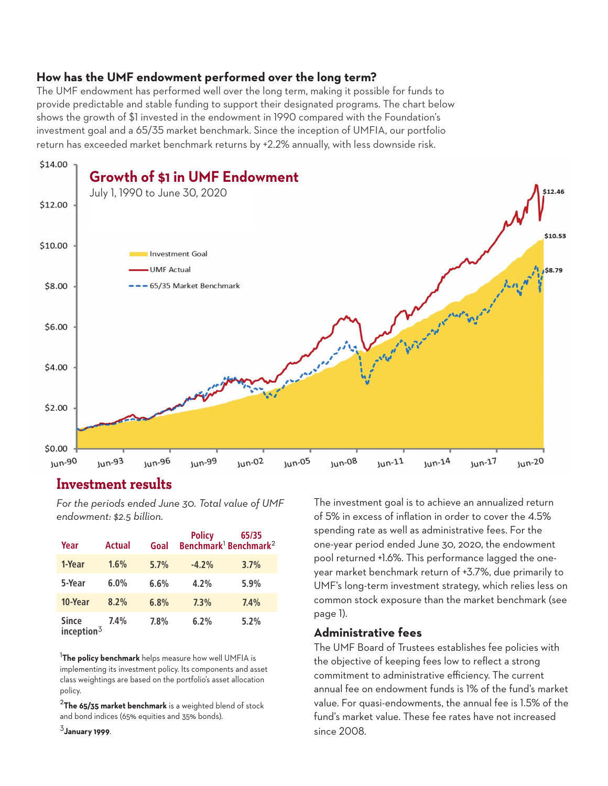## **How has the UMF endowment performed over the long term?**

The UMF endowment has performed well over the long term, making it possible for funds to provide predictable and stable funding to support their designated programs. The chart below shows the growth of \$1 invested in the endowment in 1990 compared with the Foundation's investment goal and a 65/35 market benchmark. Since the inception of UMFIA, our portfolio return has exceeded market benchmark returns by +2.2% annually, with less downside risk.



## **Investment results**

*For the periods ended June 30. Total value of UMF endowment: \$2.5 billion.*

| Year                          | <b>Actual</b> | Goal | <b>Policy</b> | 65/35<br>Benchmark <sup>1</sup> Benchmark <sup>2</sup> |
|-------------------------------|---------------|------|---------------|--------------------------------------------------------|
| 1-Year                        | 1.6%          | 5.7% | $-4.2%$       | 3.7%                                                   |
| 5-Year                        | 6.0%          | 6.6% | 4.2%          | 5.9%                                                   |
| 10-Year                       | 8.2%          | 6.8% | 7.3%          | 7.4%                                                   |
| <b>Since</b><br>inception $3$ | 7.4%          | 7.8% | 6.2%          | 5.2%                                                   |

<sup>1</sup>**The policy benchmark** helps measure how well UMFIA is implementing its investment policy. Its components and asset class weightings are based on the portfolio's asset allocation policy.

<sup>2</sup>**The 65/35 market benchmark** is a weighted blend of stock and bond indices (65% equities and 35% bonds).

<sup>3</sup>**January 1999**.

The investment goal is to achieve an annualized return of 5% in excess of inflation in order to cover the 4.5% spending rate as well as administrative fees. For the one-year period ended June 30, 2020, the endowment pool returned +1.6%. This performance lagged the oneyear market benchmark return of +3.7%, due primarily to UMF's long-term investment strategy, which relies less on common stock exposure than the market benchmark (see page 1).

### **Administrative fees**

The UMF Board of Trustees establishes fee policies with the objective of keeping fees low to reflect a strong commitment to administrative efficiency. The current annual fee on endowment funds is 1% of the fund's market value. For quasi-endowments, the annual fee is 1.5% of the fund's market value. These fee rates have not increased since 2008.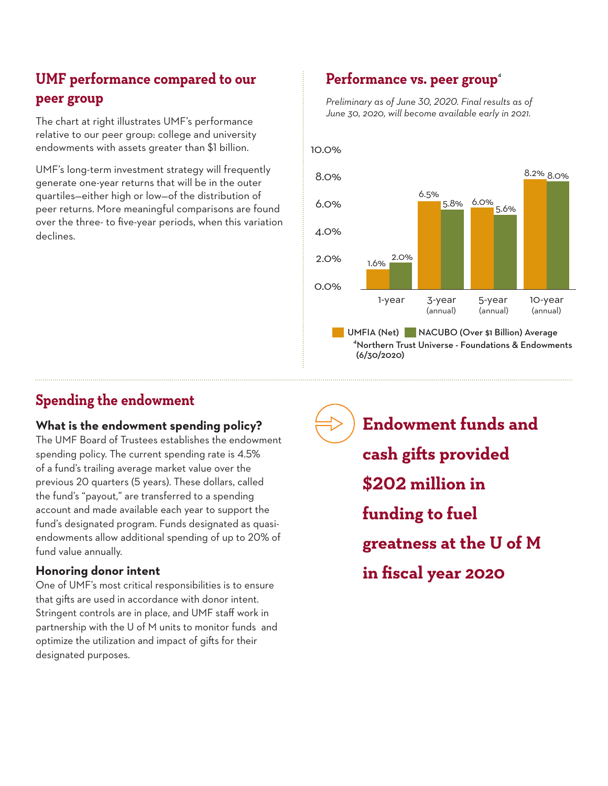# **UMF performance compared to our peer group**

The chart at right illustrates UMF's performance relative to our peer group: college and university endowments with assets greater than \$1 billion.

UMF's long-term investment strategy will frequently generate one-year returns that will be in the outer quartiles—either high or low—of the distribution of peer returns. More meaningful comparisons are found over the three- to five-year periods, when this variation declines.

# Performance vs. peer group<sup>4</sup>

*Preliminary as of June 30, 2020. Final results as of June 30, 2020, will become available early in 2021.* 



# **Spending the endowment**

## **What is the endowment spending policy?**

The UMF Board of Trustees establishes the endowment spending policy. The current spending rate is 4.5% of a fund's trailing average market value over the previous 20 quarters (5 years). These dollars, called the fund's "payout," are transferred to a spending account and made available each year to support the fund's designated program. Funds designated as quasiendowments allow additional spending of up to 20% of fund value annually.

## **Honoring donor intent**

One of UMF's most critical responsibilities is to ensure that gifts are used in accordance with donor intent. Stringent controls are in place, and UMF staff work in partnership with the U of M units to monitor funds and optimize the utilization and impact of gifts for their designated purposes.

**Endowment funds and cash gifts provided \$202 million in funding to fuel greatness at the U of M in fiscal year 2020**